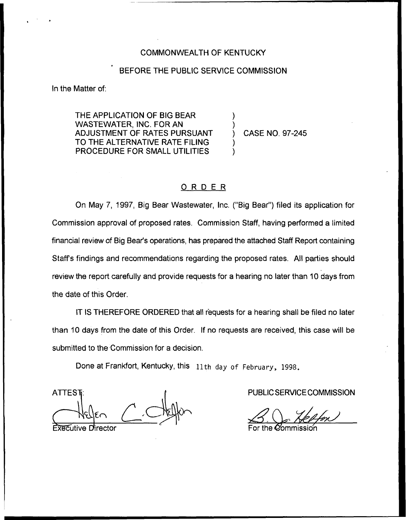## COMMONWEALTH OF KENTUCKY

# BEFORE THE PUBLIC SERVICE COMMISSION

) )

) )

In the Matter of:

THE APPLICATION OF BIG BEAR WASTEWATER, INC. FOR AN ADJUSTMENT OF RATES PURSUANT TO THE ALTERNATIVE RATE FILING PROCEDURE FOR SMALL UTILITIES

) CASE NO. 97-245

# ORDER

On May 7, 1997, Big Bear Wastewater, Inc. ("Big Bear") filed its application for Commission approval of proposed rates. Commission Staff, having performed a limited financial review of Big Bear's operations, has prepared the attached Staff Report containing Staff's findings and recommendations regarding the proposed rates. All parties should review the report carefully and provide requests for a hearing no later than 10 days from the date of this Order.

IT IS THEREFORE ORDERED that all requests for a hearing shall be filed no later than 10 days from the date of this Order. If no requests are received, this case will be submitted to the Commission for a decision.

Done at Frankfort, Kentucky, this 11th day of February, 1998.

**ATTEST** 

**Fxecutive Director** 

PUBLIC SERVICE COMMISSION

 $30$ 3.<br>TCE COMMISSI<br>Alension

For the  $\mathcal Q$ ommissio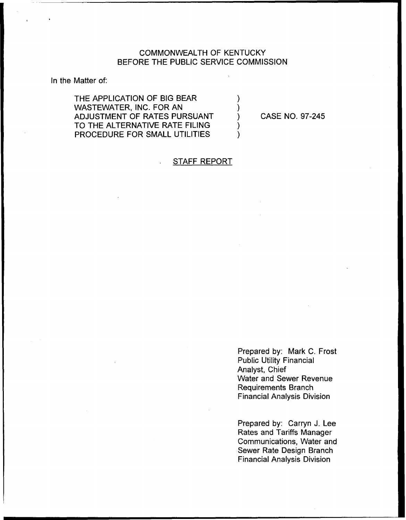# COMMONWEALTH OF KENTUCKY BEFORE THE PUBLIC SERVICE COMMISSION

In the Matter of:

THE APPLICATION OF BIG BEAR WASTEWATER, INC. FOR AN ADJUSTMENT OF RATES PURSUANT TO THE ALTERNATIVE RATE FILING PROCEDURE FOR SMALL UTILITIES

CASE NO. 97-245

# STAFF REPORT

Prepared by: Mark C. Frost Public Utility Financial Analyst, Chief Water and Sewer Revenue Requirements Branch Financial Analysis Division

Prepared by: Carryn J. Lee Rates and Tariffs Manager Communications, Water and Sewer Rate Design Branch Financial Analysis Division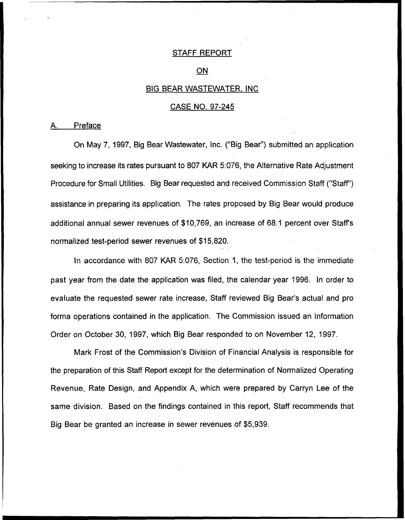## STAFF REPORT

#### ON

## BIG BEAR WASTEWATER. INC

# CASE NO. 97-245

## A. Preface

On May 7, 1997, Big Bear Wastewater, Inc. ("Big Bear") submitted an applicatio seeking to increase its rates pursuant to 807 KAR 5:076, the Alternative Rate Adjustment Procedure for Small Utilities. Big Bear requested and received Commission Staff ("Staff") assistance in preparing its application. The rates proposed by Big Bear would produce additional annual sewer revenues of \$10,769, an increase of 68.1 percent over Staff's normalized test-period sewer revenues of \$15,820.

In accordance with 807 KAR 5:076, Section 1, the test-period is the immediate past year from the date the application was filed, the calendar year 1996. In order to evaluate the requested sewer rate increase, Staff reviewed Big Bear's actual and pro forma operations contained in the application. The Commission issued an Information Order on October 30, 1997, which Big Bear responded to on November 12, 1997.

Mark Frost of the Commission's Division of Financial Analysis is responsible for the preparation of this Staff Report except for the determination of Normalized Operating Revenue, Rate Design, and Appendix A, which were prepared by Carryn Lee of the same division. Based on the findings contained in this report, Staff recommends that Big Bear be granted an increase in sewer revenues of \$5,939.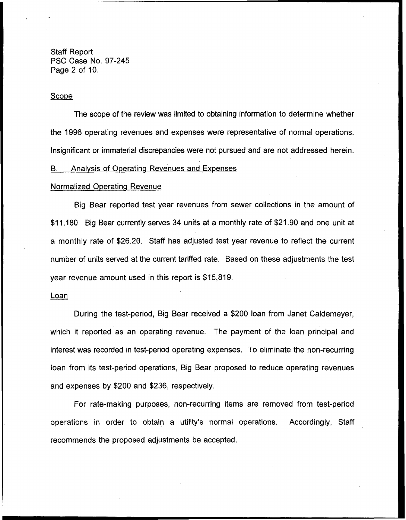Staff Report PSC Case No. 97-245 Page 2 of 10.

## **Scope**

The scope of the review was limited to obtaining information to determine whether the 1996 operating revenues and expenses were representative of normal operations. Insignificant or immaterial discrepancies were not pursued and are not addressed herein.

#### B. Analvsis of Ooeratina Revenues and Expenses

#### Normalized Operating Revenue

Big Bear reported test year revenues from sewer collections in the amount of \$11,180. Big Bear currently serves 34 units at a monthly rate of \$21.90 and one unit at a monthly rate of \$26,20. Staff has adjusted test year revenue to reflect the current number of units served at the current tariffed rate. Based on these adjustments the test year revenue amount used in this report is \$15,819.

#### **Loan**

During the test-period, Big Bear received a \$200 loan from Janet Caldemeyer, which it reported as an operating revenue. The payment of the loan principal and interest was recorded in test-period operating expenses. To eliminate the non-recurring loan from its test-period operations, Big Bear proposed to reduce operating revenues and expenses by \$200 and \$236, respectively.

For rate-making purposes, non-recurring items are removed from test-period operations in order to obtain a utility's normal operations. Accordingly, Staff recommends the proposed adjustments be accepted.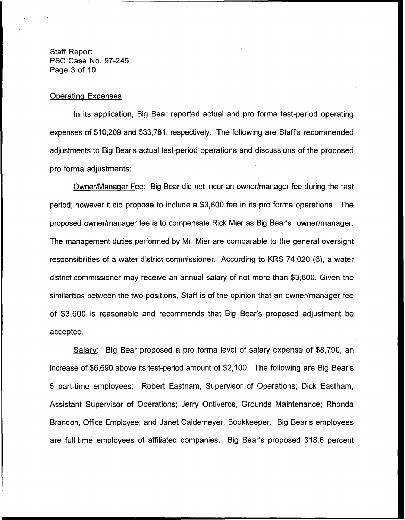Staff Report PSC Case No. 97-245 Page 3 of 10.

## **Operating Expenses**

In its application, Big Bear reported actual and pro forma test-period operating expenses of \$10,209 and \$33,781, respectively. The following are Staff's recommended adjustments to Big Bear's actual test-period operations and discussions of the proposed pro forma adjustments:

Owner/Manager Fee: Big Bear did not incur an owner/manager fee during the test period; however it did propose to include a \$3,600 fee in its pro forma operations. The proposed owner/manager fee is to compensate Rick Micr as Big Bear's owner/manager. The management duties performed by Mr. Micr are comparable to the general oversight responsibilities of a water district commissioner. According to KRS 74.020 (6), a water district commissioner may receive an annual salary of not more than \$3,600. Given the similarities between the two positions, Staff is of the opinion that an owner/manager fee of \$3,600 is reasonable and recommends that Big Bear's proposed adjustment be accepted.

Salarv: Big Bear proposed a pro forma level of salary expense of \$8,790, an increase of \$6,690 above its test-period amount of \$2,100. The following are Big Bear's 5 part-time employees: Robert Eastham, Supervisor of Operations; Dick Eastham, Assistant Supervisor of Operations; Jerry Ontiveros, Grounds Maintenance; Rhonda Brandon, Office Employee; and Janet Caldemeyer, Bookkeeper. Big Bear's employees are full-time employees of affiliated companies. Big Bear's proposed 318.6 percent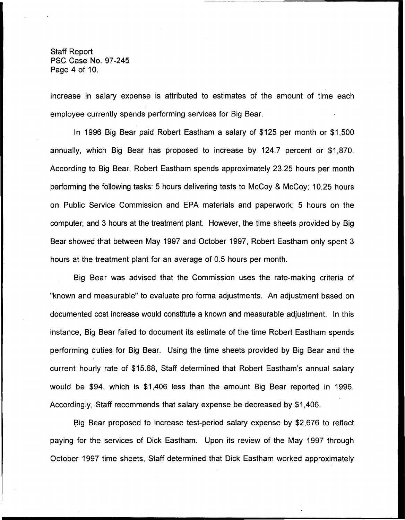Staff Report PSC Case No. 97-245 Page 4 of 10.

increase in salary expense is attributed to estimates of the amount of time each employee currently spends performing services for Big Bear.

In 1996 Big Bear paid Robert Eastham a salary of \$125 per month or \$1,500 annually, which Big Bear has proposed to increase by 124.7 percent or \$1,870. According to Big Bear, Robert Eastham spends approximately 23.25 hours per month performing the following tasks: 5 hours delivering tests to McCoy 8 McCoy; 10.25 hours on Public Service Commission and EPA materials and paperwork; 5 hours on the computer; and 3 hours at the treatment plant. However, the time sheets provided by Big Bear showed that between May 1997 and October 1997, Robert Eastham only spent 3 hours at the treatment plant for an average of 0.5 hours per month.

Big Bear was advised that the Commission uses the rate-making criteria of "known and measurable" to evaluate pro forma adjustments. An adjustment based on documented cost increase would constitute a known and measurable adjustment. In this instance, Big Bear failed to document its estimate of the time Robert Eastham spends performing duties for Big Bear. Using the time sheets provided by Big Bear and the current hourly rate of \$15.68, Staff determined that Robert Eastham's annual salary would be \$94, which is \$1,406 less than the amount Big Bear reported in 1996. Accordingly, Staff recommends that salary expense be decreased by \$1,406.

Big Bear proposed to increase test-period salary expense by \$2,676 to reflect paying for the services of Dick Eastham. Upon its review of the May 1997 through October 1997 time sheets, Staff determined that Dick Eastham worked approximately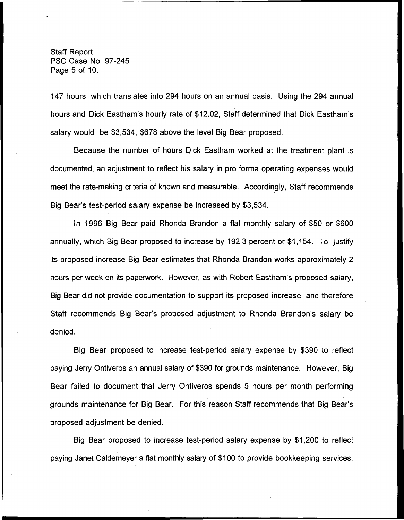Staff Report PSC Case No. 97-245 Page 5 of 10.

147 hours, which translates into 294 hours on an annual basis. Using the 294 annual hours and Dick Eastham's hourly rate of \$12.02, Staff determined that Dick Eastham's salary would be \$3,534, \$678 above the level Big Bear proposed.

Because the number of hours Dick Eastham worked at the treatment plant is documented, an adjustment to reflect his salary in pro forma operating expenses would meet the rate-making criteria of known and measurable. Accordingly, Staff recommends Big Bear's test-period salary expense be increased by \$3,534.

In 1996 Big Bear paid Rhonda Brandon a flat monthly salary of \$50 or \$600 annually, which Big Bear proposed to increase by 192.3 percent or \$1,154. To justify its proposed increase Big Bear estimates that Rhonda Brandon works approximately 2 hours per week on its paperwork. However, as with Robert Eastham's proposed salary, Big Bear did not provide documentation to support its proposed increase, and therefore Staff recommends Big Bear's proposed adjustment to Rhonda Brandon's salary be denied.

Big Bear proposed to increase test-period salary expense by \$390 to reflect paying Jerry Ontiveros an annual salary of \$390 for grounds maintenance. However, Big Bear failed to document that Jerry Ontiveros spends 5 hours per month performing grounds maintenance for Big Bear. For this reason Staff recommends that Big Bear's proposed adjustment be denied.

Big Bear proposed to increase test-period salary expense by \$1,200 to reflect paying Janet Caldemeyer a flat monthly salary of \$100 to provide bookkeeping services.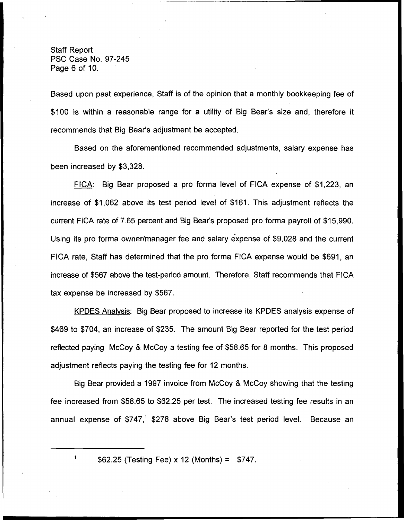Staff Report PSC Case No. 97-245 Page 6 of 10.

Based upon past experience, Staff is of the opinion that a monthly bookkeeping fee of \$100 is within a reasonable range for a utility of Big Bear's size and, therefore it recommends that Big Bear's adjustment be accepted.

Based on the aforementioned recommended adjustments, salary expense has been increased by \$3,328.

FICA: Big Bear proposed a pro forma level of FICA expense of \$1,223, an increase of \$1,062 above its test period level of \$161. This adjustment reflects the current FICA rate of 7.65 percent and Big Bear's proposed pro forma payroll of \$15,990. Using its pro forma owner/manager fee and salary expense of \$9,028 and the current FICA rate, Staff has determined that the pro forma FICA expense would be \$691, an increase of \$567 above the test-period amount. Therefore, Staff recommends that FICA tax expense be increased by \$567.

KPDES Analvsis: Big Bear proposed to increase its KPDES analysis expense of \$469 to \$704, an increase of \$235. The amount Big Bear reported for the test period reflected paying McCoy 8 McCoy a testing fee of \$58.65 for 8 months. This proposed adjustment reflects paying the testing fee for 12 months.

Big Bear provided a 1997 invoice from McCoy 8 McCoy showing that the testing fee increased from \$58.65 to \$62.25 per test. The increased testing fee results in an annual expense of  $$747<sup>1</sup>$  \$278 above Big Bear's test period level. Because an

<sup>\$</sup>62.25 (Testing Fee) x 12 (Months) = \$747.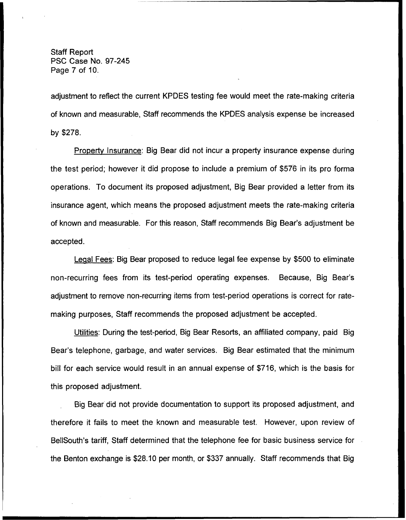Staff Report PSC Case No. 97-245 Page 7 of 10.

adjustment to reflect the current KPDES testing fee would meet the rate-making criteria of known and measurable, Staff recommends the KPDES analysis expense be increased by \$278.

Propertv Insurance: Big Bear did not incur a property insurance expense during the test period; however it did propose to include a premium of \$576 in its pro forma operations. To document its proposed adjustment, Big Bear provided a letter from its insurance agent, which means the proposed adjustment meets the rate-making criteria of known and measurable. For this reason, Staff recommends Big Bear's adjustment be accepted.

Leaal Fees: Big Bear proposed to reduce legal fee expense by \$500 to eliminate non-recurring fees from its test-period operating expenses. Because, Big Bear's adjustment to remove non-recurring items from test-period operations is correct for ratemaking purposes, Staff recommends the proposed adjustment be accepted.

Utilities: During the test-period, Big Bear Resorts, an affiliated company, paid Big Bear's telephone, garbage, and water services. Big Bear estimated that the minimum bill for each service would result in an annual expense of \$716, which is the basis for this proposed adjustment.

Big Bear did not provide documentation to support its proposed adjustment, and therefore it fails to meet the known and measurable test. However, upon review of BellSouth's tariff, Staff determined that the telephone fee for basic business service for the Benton exchange is \$28.10 per month, or \$337 annually. Staff recommends that Big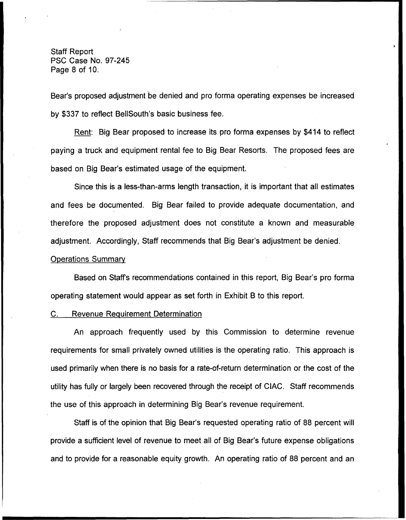Staff Report PSC Case No. 97-245 Page 8 of 10.

Bear's proposed adjustment be denied and pro forma operating expenses be increased by \$337 to reflect BellSouth's basic business fee.

Rent: Big Bear proposed to increase its pro forma expenses by \$414 to reflect paying a truck and equipment rental fee to Big Bear Resorts. The proposed fees are based on Big Bear's estimated usage of the equipment.

Since this is a less-then-arms length transaction, it is important that all estimates and fees be documented. Big Bear failed to provide adequate documentation, and therefore the proposed adjustment does not constitute a known and measurable adjustment. Accordingly, Staff recommends that Big Bear's adjustment be denied,

#### Operations Summarv

Based on Staffs recommendations contained in this report, Big Bear's pro forma operating statement would appear as set forth in Exhibit B to this report.

#### C. Revenue Requirement Determination

An approach frequently used by this Commission to determine revenue requirements for small privately owned utilities is the operating ratio. This approach is used primarily when there is no basis for a rate-of-return determination or the cost of the utility has fully or largely been recovered through the receipt of CIAC. Staff recommends the use of this approach in determining Big Bear's revenue requirement.

Staff is of the opinion that Big Bear's requested operating ratio of 88 percent will provide a sufficient level of revenue to meet all of Big Bear's future expense obligations and to provide for a reasonable equity growth. An operating ratio of 88 percent and an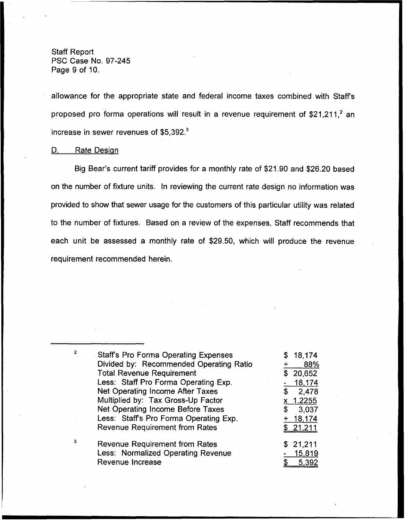Staff Report PSC Case No. 97-245 Page 9 of 10.

allowance for the appropriate state and federal income taxes combined with Staffs proposed pro forma operations will result in a revenue requirement of  $$21,211$ , an increase in sewer revenues of \$5,392.<sup>3</sup>

#### D. **Rate Design**

Big Bear's current tariff provides for a monthly rate of \$21.90 and \$26.20 based on the number of fixture units. In reviewing the current rate design no information was provided to show that sewer usage for the customers of this particular utility was related to the number of fixtures. Based on a review of the expenses, Staff recommends that each unit be assessed a monthly rate of \$29.50, which will produce the revenue requirement recommended herein.

| $\overline{2}$ | <b>Staff's Pro Forma Operating Expenses</b> | 18,174      |
|----------------|---------------------------------------------|-------------|
|                | Divided by: Recommended Operating Ratio     | 88%         |
|                | <b>Total Revenue Requirement</b>            | 20,652<br>S |
|                | Less: Staff Pro Forma Operating Exp.        | 18,174      |
|                | Net Operating Income After Taxes            | 2,478<br>\$ |
|                | Multiplied by: Tax Gross-Up Factor          | x 1.2255    |
|                | Net Operating Income Before Taxes           | 3,037<br>\$ |
|                | Less: Staff's Pro Forma Operating Exp.      | $+ 18,174$  |
|                | <b>Revenue Requirement from Rates</b>       | \$21,211    |
| 3              | <b>Revenue Requirement from Rates</b>       | \$21,211    |
|                | Less: Normalized Operating Revenue          | 15,819      |
|                | <b>Revenue Increase</b>                     | 5,392       |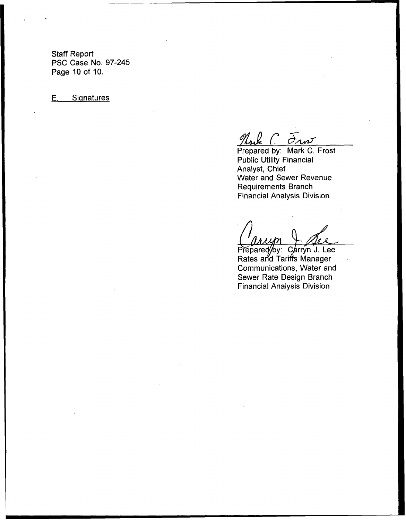Staff Report PSC Case No. 97-245 Page 10 of 10.

E. Signatures

 $C\bar{\sigma}$ 

Prepared by: Mark C. Frost Public Utility Financial Analyst, Chief Water and Sewer Revenue Requirements Branch Financial Analysis Division

Prepared/by: Carryn J. Lee Rates and Tariffs Manage Communications, Water and Sewer Rate Design Branch Financial Analysis Division